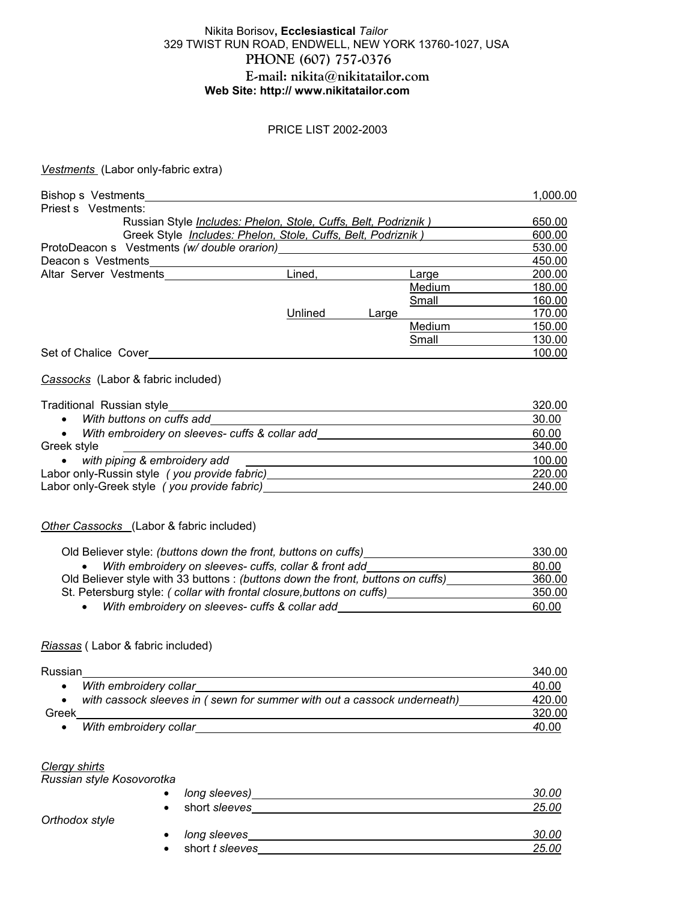## Nikita Borisov**, Ecclesiastical** *Tailor* 329 TWIST RUN ROAD, ENDWELL, NEW YORK 13760-1027, USA **PHONE (607) 757-0376 E-mail: nikita@nikitatailor.com Web Site: http:// www.nikitatailor.com**

#### PRICE LIST 2002-2003

#### *Vestments* (Labor only-fabric extra)

| Bishop s Vestments                                                   |         |       |        | 1.000.00 |
|----------------------------------------------------------------------|---------|-------|--------|----------|
| Priest s Vestments:                                                  |         |       |        |          |
| Russian Style Includes: Phelon, Stole, Cuffs, Belt, Podriznik)       |         |       |        | 650.00   |
| Greek Style <i>Includes: Phelon, Stole, Cuffs, Belt, Podriznik</i> ) |         |       |        | 600.00   |
| ProtoDeacon s Vestments (w/ double orarion)                          |         |       |        | 530.00   |
| Deacon s Vestments                                                   |         |       |        | 450.00   |
| Altar Server Vestments                                               | Lined.  |       | Large  | 200.00   |
|                                                                      |         |       | Medium | 180.00   |
|                                                                      |         |       | Small  | 160.00   |
|                                                                      | Unlined | Large |        | 170.00   |
|                                                                      |         |       | Medium | 150.00   |
|                                                                      |         |       | Small  | 130.00   |
| Set of Chalice Cover                                                 |         |       |        | 100.00   |

#### *Cassocks* (Labor & fabric included)

| Traditional Russian style                      | 320.00 |
|------------------------------------------------|--------|
| With buttons on cuffs add                      | 30.00  |
| With embroidery on sleeves- cuffs & collar add | 60.00  |
| Greek style                                    | 340.00 |
| with piping & embroidery add                   | 100.00 |
| Labor only-Russin style (you provide fabric)   | 220.00 |
| Labor only-Greek style (you provide fabric)    | 240.00 |
|                                                |        |

### *Other Cassocks* (Labor & fabric included)

| Old Believer style: (buttons down the front, buttons on cuffs)                 | 330.00 |
|--------------------------------------------------------------------------------|--------|
| With embroidery on sleeves- cuffs, collar & front add                          | 80.00  |
| Old Believer style with 33 buttons: (buttons down the front, buttons on cuffs) | 360.00 |
| St. Petersburg style: (collar with frontal closure, buttons on cuffs)          | 350.00 |
| With embroidery on sleeves- cuffs & collar add                                 | 60.00  |

### *Riassas* ( Labor & fabric included)

| Russian                                                                 | 340.00 |
|-------------------------------------------------------------------------|--------|
| With embroidery collar                                                  | 40.00  |
| with cassock sleeves in (sewn for summer with out a cassock underneath) | 420.00 |
| Greek                                                                   | 320.00 |
| With embroidery collar                                                  | 40.00  |

#### *Clergy shirts*

*Orthodox style* 

*Russian style Kosovorotka* 

| long sleeves)<br>$\bullet$   | 30.00 |
|------------------------------|-------|
| short sleeves<br>$\bullet$   | 25.00 |
| long sleeves<br>$\bullet$    | 30.00 |
| short t sleeves<br>$\bullet$ | 25.00 |